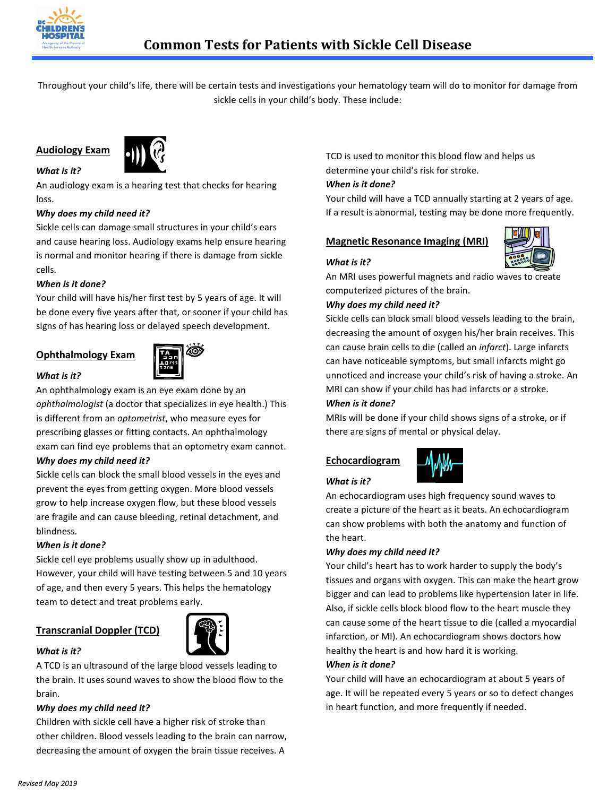

Throughout your child's life, there will be certain tests and investigations your hematology team will do to monitor for damage from sickle cells in your child's body. These include:

# **Audiology Exam**

*What is it?*



An audiology exam is a hearing test that checks for hearing loss.

## *Why does my child need it?*

Sickle cells can damage small structures in your child's ears and cause hearing loss. Audiology exams help ensure hearing is normal and monitor hearing if there is damage from sickle cells.

## *When is it done?*

Your child will have his/her first test by 5 years of age. It will be done every five years after that, or sooner if your child has signs of has hearing loss or delayed speech development.

# **Ophthalmology Exam**



#### *What is it?*

An ophthalmology exam is an eye exam done by an *ophthalmologist* (a doctor that specializes in eye health.) This is different from an *optometrist*, who measure eyes for prescribing glasses or fitting contacts. An ophthalmology exam can find eye problems that an optometry exam cannot. *Why does my child need it?*

Sickle cells can block the small blood vessels in the eyes and prevent the eyes from getting oxygen. More blood vessels grow to help increase oxygen flow, but these blood vessels are fragile and can cause bleeding, retinal detachment, and blindness.

## *When is it done?*

Sickle cell eye problems usually show up in adulthood. However, your child will have testing between 5 and 10 years of age, and then every 5 years. This helps the hematology team to detect and treat problems early.

# **Transcranial Doppler (TCD)**



#### *What is it?*

A TCD is an ultrasound of the large blood vessels leading to the brain. It uses sound waves to show the blood flow to the brain.

#### *Why does my child need it?*

Children with sickle cell have a higher risk of stroke than other children. Blood vessels leading to the brain can narrow, decreasing the amount of oxygen the brain tissue receives. A

TCD is used to monitor this blood flow and helps us determine your child's risk for stroke.

#### *When is it done?*

Your child will have a TCD annually starting at 2 years of age. If a result is abnormal, testing may be done more frequently.

## **Magnetic Resonance Imaging (MRI)**



## *What is it?*

An MRI uses powerful magnets and radio waves to create computerized pictures of the brain.

#### *Why does my child need it?*

Sickle cells can block small blood vessels leading to the brain, decreasing the amount of oxygen his/her brain receives. This can cause brain cells to die (called an *infarct*). Large infarcts can have noticeable symptoms, but small infarcts might go unnoticed and increase your child's risk of having a stroke. An MRI can show if your child has had infarcts or a stroke.

#### *When is it done?*

MRIs will be done if your child shows signs of a stroke, or if there are signs of mental or physical delay.

## **Echocardiogram**



## *What is it?*

An echocardiogram uses high frequency sound waves to create a picture of the heart as it beats. An echocardiogram can show problems with both the anatomy and function of the heart.

#### *Why does my child need it?*

Your child's heart has to work harder to supply the body's tissues and organs with oxygen. This can make the heart grow bigger and can lead to problems like hypertension later in life. Also, if sickle cells block blood flow to the heart muscle they can cause some of the heart tissue to die (called a myocardial infarction, or MI). An echocardiogram shows doctors how healthy the heart is and how hard it is working.

## *When is it done?*

Your child will have an echocardiogram at about 5 years of age. It will be repeated every 5 years or so to detect changes in heart function, and more frequently if needed.